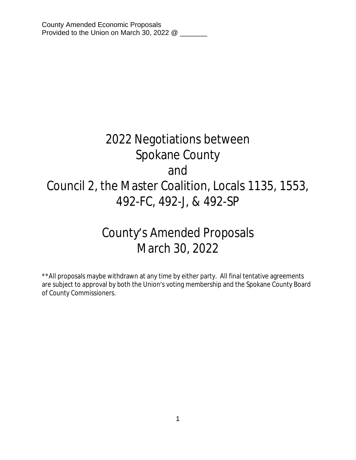# 2022 Negotiations between Spokane County and Council 2, the Master Coalition, Locals 1135, 1553, 492-FC, 492-J, & 492-SP

# County's Amended Proposals March 30, 2022

\*\*All proposals maybe withdrawn at any time by either party. All final tentative agreements are subject to approval by both the Union's voting membership and the Spokane County Board of County Commissioners.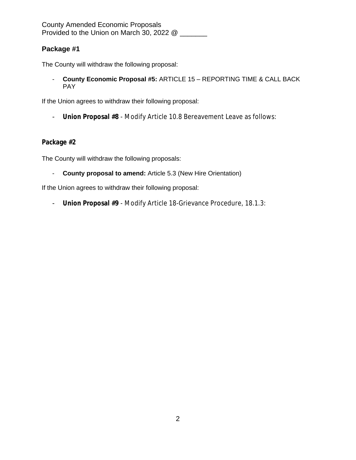County Amended Economic Proposals Provided to the Union on March 30, 2022 @ \_\_\_\_\_\_

# **Package #1**

The County will withdraw the following proposal:

- **County Economic Proposal #5:** ARTICLE 15 – REPORTING TIME & CALL BACK PAY

If the Union agrees to withdraw their following proposal:

- **Union Proposal #8** - Modify Article 10.8 Bereavement Leave as follows:

## **Package #2**

The County will withdraw the following proposals:

- **County proposal to amend:** Article 5.3 (New Hire Orientation)

If the Union agrees to withdraw their following proposal:

- **Union Proposal #9** - Modify Article 18-Grievance Procedure, 18.1.3: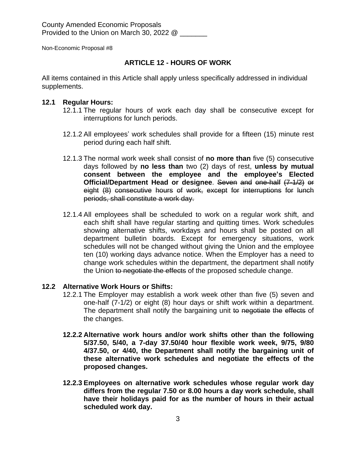Non-Economic Proposal #8

#### **ARTICLE 12 - HOURS OF WORK**

All items contained in this Article shall apply unless specifically addressed in individual supplements.

#### **12.1 Regular Hours:**

- 12.1.1 The regular hours of work each day shall be consecutive except for interruptions for lunch periods.
- 12.1.2 All employees' work schedules shall provide for a fifteen (15) minute rest period during each half shift.
- 12.1.3 The normal work week shall consist of **no more than** five (5) consecutive days followed by **no less than** two (2) days of rest, **unless by mutual consent between the employee and the employee's Elected Official/Department Head or designee**. Seven and one-half (7-1/2) or eight (8) consecutive hours of work, except for interruptions for lunch periods, shall constitute a work day.
- 12.1.4 All employees shall be scheduled to work on a regular work shift, and each shift shall have regular starting and quitting times. Work schedules showing alternative shifts, workdays and hours shall be posted on all department bulletin boards. Except for emergency situations, work schedules will not be changed without giving the Union and the employee ten (10) working days advance notice. When the Employer has a need to change work schedules within the department, the department shall notify the Union to negotiate the effects of the proposed schedule change.

### **12.2 Alternative Work Hours or Shifts:**

- 12.2.1 The Employer may establish a work week other than five (5) seven and one-half (7-1/2) or eight (8) hour days or shift work within a department. The department shall notify the bargaining unit to negotiate the effects of the changes.
- **12.2.2 Alternative work hours and/or work shifts other than the following 5/37.50, 5/40, a 7-day 37.50/40 hour flexible work week, 9/75, 9/80 4/37.50, or 4/40, the Department shall notify the bargaining unit of these alternative work schedules and negotiate the effects of the proposed changes.**
- **12.2.3 Employees on alternative work schedules whose regular work day differs from the regular 7.50 or 8.00 hours a day work schedule, shall have their holidays paid for as the number of hours in their actual scheduled work day.**